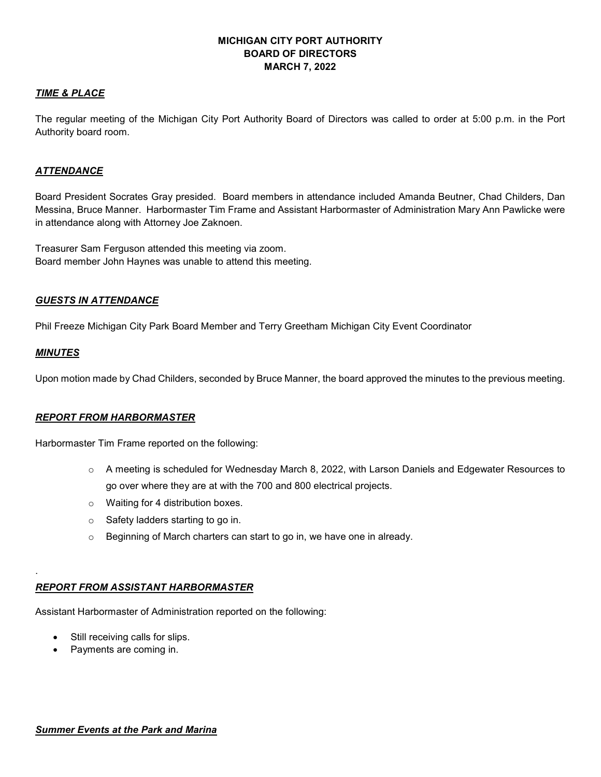# **MICHIGAN CITY PORT AUTHORITY BOARD OF DIRECTORS MARCH 7, 2022**

### *TIME & PLACE*

The regular meeting of the Michigan City Port Authority Board of Directors was called to order at 5:00 p.m. in the Port Authority board room.

### *ATTENDANCE*

Board President Socrates Gray presided. Board members in attendance included Amanda Beutner, Chad Childers, Dan Messina, Bruce Manner. Harbormaster Tim Frame and Assistant Harbormaster of Administration Mary Ann Pawlicke were in attendance along with Attorney Joe Zaknoen.

Treasurer Sam Ferguson attended this meeting via zoom. Board member John Haynes was unable to attend this meeting.

### *GUESTS IN ATTENDANCE*

Phil Freeze Michigan City Park Board Member and Terry Greetham Michigan City Event Coordinator

### *MINUTES*

.

Upon motion made by Chad Childers, seconded by Bruce Manner, the board approved the minutes to the previous meeting.

# *REPORT FROM HARBORMASTER*

Harbormaster Tim Frame reported on the following:

- o A meeting is scheduled for Wednesday March 8, 2022, with Larson Daniels and Edgewater Resources to go over where they are at with the 700 and 800 electrical projects.
- o Waiting for 4 distribution boxes.
- $\circ$  Safety ladders starting to go in.
- o Beginning of March charters can start to go in, we have one in already.

# *REPORT FROM ASSISTANT HARBORMASTER*

Assistant Harbormaster of Administration reported on the following:

- Still receiving calls for slips.
- Payments are coming in.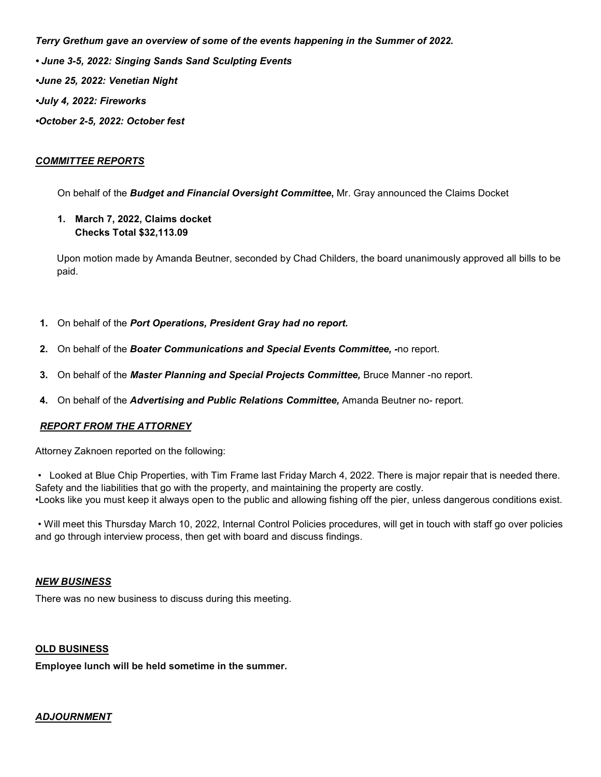*Terry Grethum gave an overview of some of the events happening in the Summer of 2022. • June 3-5, 2022: Singing Sands Sand Sculpting Events •June 25, 2022: Venetian Night •July 4, 2022: Fireworks •October 2-5, 2022: October fest* 

### *COMMITTEE REPORTS*

On behalf of the *Budget and Financial Oversight Committee***,** Mr. Gray announced the Claims Docket

**1. March 7, 2022, Claims docket Checks Total \$32,113.09** 

 Upon motion made by Amanda Beutner, seconded by Chad Childers, the board unanimously approved all bills to be paid.

- **1.** On behalf of the *Port Operations, President Gray had no report.*
- **2.** On behalf of the *Boater Communications and Special Events Committee, -*no report.
- **3.** On behalf of the *Master Planning and Special Projects Committee,* Bruce Manner -no report.
- **4.** On behalf of the *Advertising and Public Relations Committee,* Amanda Beutner no- report.

# *REPORT FROM THE ATTORNEY*

Attorney Zaknoen reported on the following:

 • Looked at Blue Chip Properties, with Tim Frame last Friday March 4, 2022. There is major repair that is needed there. Safety and the liabilities that go with the property, and maintaining the property are costly. •Looks like you must keep it always open to the public and allowing fishing off the pier, unless dangerous conditions exist.

 • Will meet this Thursday March 10, 2022, Internal Control Policies procedures, will get in touch with staff go over policies and go through interview process, then get with board and discuss findings.

#### *NEW BUSINESS*

There was no new business to discuss during this meeting.

### **OLD BUSINESS**

**Employee lunch will be held sometime in the summer.**

# *ADJOURNMENT*